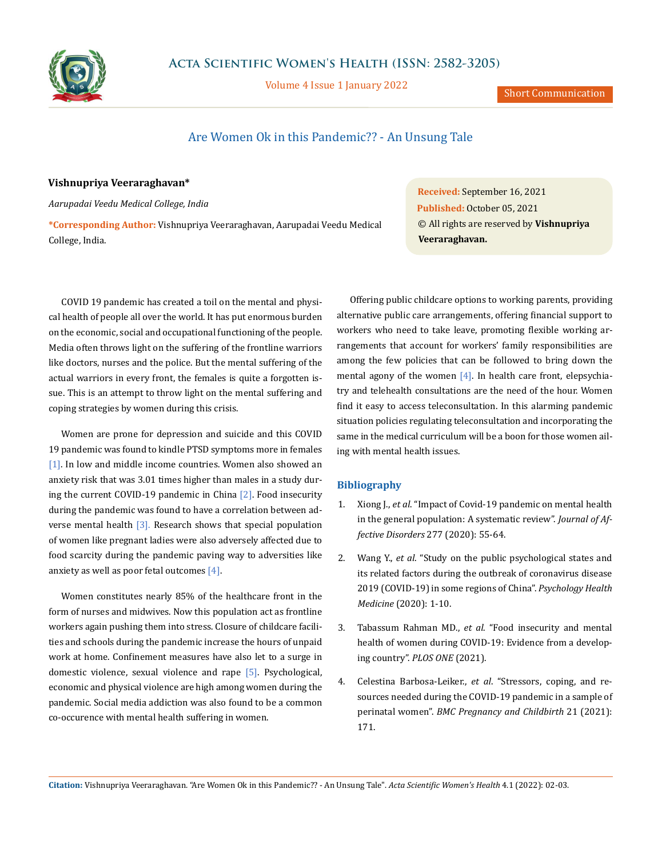

Volume 4 Issue 1 January 2022

Short Communication

## Are Women Ok in this Pandemic?? - An Unsung Tale

## **Vishnupriya Veeraraghavan\***

*Aarupadai Veedu Medical College, India*

**\*Corresponding Author:** Vishnupriya Veeraraghavan, Aarupadai Veedu Medical College, India.

COVID 19 pandemic has created a toil on the mental and physical health of people all over the world. It has put enormous burden on the economic, social and occupational functioning of the people. Media often throws light on the suffering of the frontline warriors like doctors, nurses and the police. But the mental suffering of the actual warriors in every front, the females is quite a forgotten issue. This is an attempt to throw light on the mental suffering and coping strategies by women during this crisis.

Women are prone for depression and suicide and this COVID 19 pandemic was found to kindle PTSD symptoms more in females [1]. In low and middle income countries. Women also showed an anxiety risk that was 3.01 times higher than males in a study during the current COVID-19 pandemic in China [2]. Food insecurity during the pandemic was found to have a correlation between adverse mental health [3]. Research shows that special population of women like pregnant ladies were also adversely affected due to food scarcity during the pandemic paving way to adversities like anxiety as well as poor fetal outcomes [4].

Women constitutes nearly 85% of the healthcare front in the form of nurses and midwives. Now this population act as frontline workers again pushing them into stress. Closure of childcare facilities and schools during the pandemic increase the hours of unpaid work at home. Confinement measures have also let to a surge in domestic violence, sexual violence and rape [5]. Psychological, economic and physical violence are high among women during the pandemic. Social media addiction was also found to be a common co-occurence with mental health suffering in women.

**Received:** September 16, 2021 **Published:** October 05, 2021 © All rights are reserved by **Vishnupriya Veeraraghavan.**

Offering public childcare options to working parents, providing alternative public care arrangements, offering financial support to workers who need to take leave, promoting flexible working arrangements that account for workers' family responsibilities are among the few policies that can be followed to bring down the mental agony of the women  $[4]$ . In health care front, elepsychiatry and telehealth consultations are the need of the hour. Women find it easy to access teleconsultation. In this alarming pandemic situation policies regulating teleconsultation and incorporating the same in the medical curriculum will be a boon for those women ailing with mental health issues.

## **Bibliography**

- 1. Xiong J., *et al*[. "Impact of Covid-19 pandemic on mental health](https://www.ncbi.nlm.nih.gov/pmc/articles/PMC7413844/)  [in the general population: A systematic review".](https://www.ncbi.nlm.nih.gov/pmc/articles/PMC7413844/) *Journal of Affective Disorders* [277 \(2020\): 55-64.](https://www.ncbi.nlm.nih.gov/pmc/articles/PMC7413844/)
- 2. Wang Y., *et al*[. "Study on the public psychological states and](https://www.tandfonline.com/doi/full/10.1080/13548506.2020.1746817)  [its related factors during the outbreak of coronavirus disease](https://www.tandfonline.com/doi/full/10.1080/13548506.2020.1746817)  [2019 \(COVID-19\) in some regions of China".](https://www.tandfonline.com/doi/full/10.1080/13548506.2020.1746817) *Psychology Health Medicine* [\(2020\): 1-10.](https://www.tandfonline.com/doi/full/10.1080/13548506.2020.1746817)
- 3. Tabassum Rahman MD., *et al*[. "Food insecurity and mental](https://doi.org/10.1371/journal.pone.0255392)  [health of women during COVID-19: Evidence from a develop](https://doi.org/10.1371/journal.pone.0255392)[ing country".](https://doi.org/10.1371/journal.pone.0255392) *PLOS ONE* (2021).
- 4. Celestina Barbosa-Leiker., *et al*[. "Stressors, coping, and re](https://bmcpregnancychildbirth.biomedcentral.com/articles/10.1186/s12884-021-03665-0)[sources needed during the COVID-19 pandemic in a sample of](https://bmcpregnancychildbirth.biomedcentral.com/articles/10.1186/s12884-021-03665-0)  perinatal women". *[BMC Pregnancy and Childbirth](https://bmcpregnancychildbirth.biomedcentral.com/articles/10.1186/s12884-021-03665-0)* 21 (2021): [171.](https://bmcpregnancychildbirth.biomedcentral.com/articles/10.1186/s12884-021-03665-0)

**Citation:** Vishnupriya Veeraraghavan*.* "Are Women Ok in this Pandemic?? - An Unsung Tale". *Acta Scientific Women's Health* 4.1 (2022): 02-03.